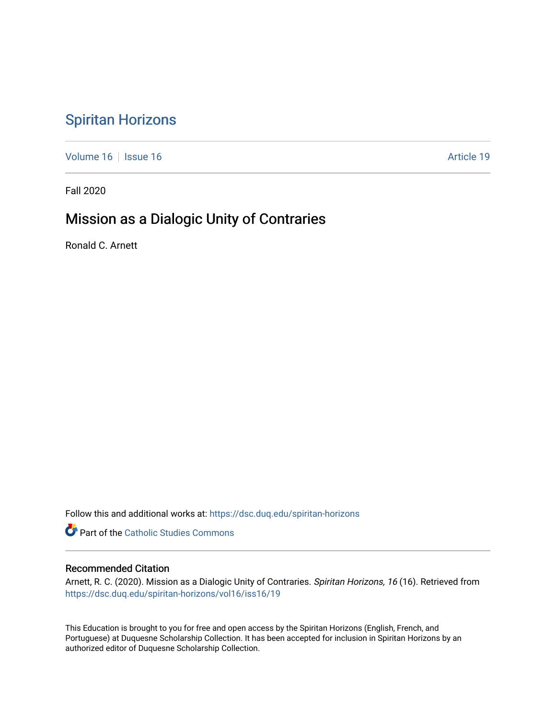# [Spiritan Horizons](https://dsc.duq.edu/spiritan-horizons)

[Volume 16](https://dsc.duq.edu/spiritan-horizons/vol16) | [Issue 16](https://dsc.duq.edu/spiritan-horizons/vol16/iss16) | Issue 16 | Issue 16 | Issue 16 | Issue 16 | Issue 16 | Issue 16 | Issue 16 | Issue 16 | Issue 16 | Issue 16 | Issue 16 | Issue 16 | Issue 16 | Issue 16 | Issue 16 | Issue 16 | Issue 16 | Issue 16 | I

Fall 2020

# Mission as a Dialogic Unity of Contraries

Ronald C. Arnett

Follow this and additional works at: [https://dsc.duq.edu/spiritan-horizons](https://dsc.duq.edu/spiritan-horizons?utm_source=dsc.duq.edu%2Fspiritan-horizons%2Fvol16%2Fiss16%2F19&utm_medium=PDF&utm_campaign=PDFCoverPages)

**Part of the [Catholic Studies Commons](http://network.bepress.com/hgg/discipline/1294?utm_source=dsc.duq.edu%2Fspiritan-horizons%2Fvol16%2Fiss16%2F19&utm_medium=PDF&utm_campaign=PDFCoverPages)** 

### Recommended Citation

Arnett, R. C. (2020). Mission as a Dialogic Unity of Contraries. Spiritan Horizons, 16 (16). Retrieved from [https://dsc.duq.edu/spiritan-horizons/vol16/iss16/19](https://dsc.duq.edu/spiritan-horizons/vol16/iss16/19?utm_source=dsc.duq.edu%2Fspiritan-horizons%2Fvol16%2Fiss16%2F19&utm_medium=PDF&utm_campaign=PDFCoverPages) 

This Education is brought to you for free and open access by the Spiritan Horizons (English, French, and Portuguese) at Duquesne Scholarship Collection. It has been accepted for inclusion in Spiritan Horizons by an authorized editor of Duquesne Scholarship Collection.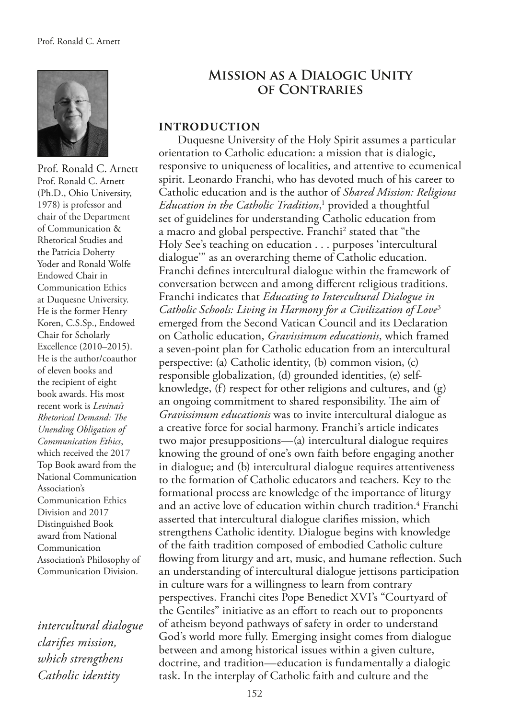

Prof. Ronald C. Arnett Prof. Ronald C. Arnett (Ph.D., Ohio University, 1978) is professor and chair of the Department of Communication & Rhetorical Studies and the Patricia Doherty Yoder and Ronald Wolfe Endowed Chair in Communication Ethics at Duquesne University. He is the former Henry Koren, C.S.Sp., Endowed Chair for Scholarly Excellence (2010–2015). He is the author/coauthor of eleven books and the recipient of eight book awards. His most recent work is *Levinas's Rhetorical Demand: Te Unending Obligation of Communication Ethics*, which received the 2017 Top Book award from the National Communication Association's Communication Ethics Division and 2017 Distinguished Book award from National Communication Association's Philosophy of Communication Division.

*intercultural dialogue clarifes mission, which strengthens Catholic identity*

## **Mission as a Dialogic Unity of Contraries**

#### **INTRODUCTION**

Duquesne University of the Holy Spirit assumes a particular orientation to Catholic education: a mission that is dialogic, responsive to uniqueness of localities, and attentive to ecumenical spirit. Leonardo Franchi, who has devoted much of his career to Catholic education and is the author of *Shared Mission: Religious*  Education in the Catholic Tradition,<sup>1</sup> provided a thoughtful set of guidelines for understanding Catholic education from a macro and global perspective. Franchi<sup>2</sup> stated that "the Holy See's teaching on education . . . purposes 'intercultural dialogue'" as an overarching theme of Catholic education. Franchi defnes intercultural dialogue within the framework of conversation between and among diferent religious traditions. Franchi indicates that *Educating to Intercultural Dialogue in Catholic Schools: Living in Harmony for a Civilization of Love*<sup>3</sup> emerged from the Second Vatican Council and its Declaration on Catholic education, *Gravissimum educationis*, which framed a seven-point plan for Catholic education from an intercultural perspective: (a) Catholic identity, (b) common vision, (c) responsible globalization, (d) grounded identities, (e) selfknowledge, (f) respect for other religions and cultures, and (g) an ongoing commitment to shared responsibility. The aim of *Gravissimum educationis* was to invite intercultural dialogue as a creative force for social harmony. Franchi's article indicates two major presuppositions—(a) intercultural dialogue requires knowing the ground of one's own faith before engaging another in dialogue; and (b) intercultural dialogue requires attentiveness to the formation of Catholic educators and teachers. Key to the formational process are knowledge of the importance of liturgy and an active love of education within church tradition.<sup>4</sup> Franchi asserted that intercultural dialogue clarifes mission, which strengthens Catholic identity. Dialogue begins with knowledge of the faith tradition composed of embodied Catholic culture fowing from liturgy and art, music, and humane refection. Such an understanding of intercultural dialogue jettisons participation in culture wars for a willingness to learn from contrary perspectives. Franchi cites Pope Benedict XVI's "Courtyard of the Gentiles" initiative as an efort to reach out to proponents of atheism beyond pathways of safety in order to understand God's world more fully. Emerging insight comes from dialogue between and among historical issues within a given culture, doctrine, and tradition—education is fundamentally a dialogic task. In the interplay of Catholic faith and culture and the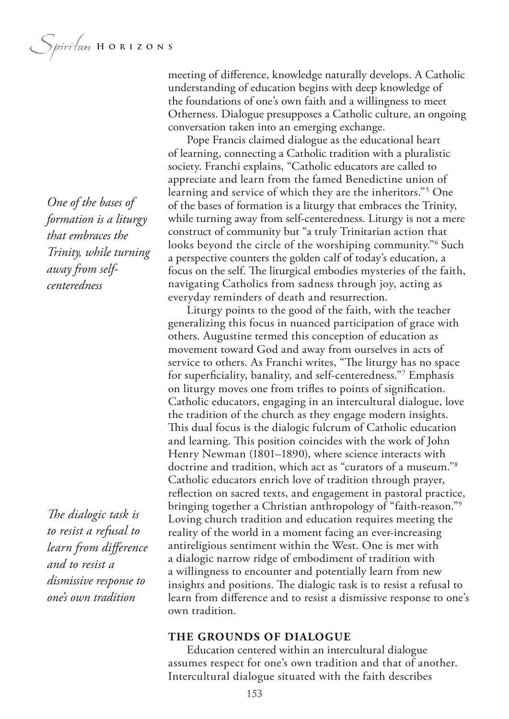*One of the bases of formation is a liturgy that embraces the Trinity, while turning away from selfcenteredness*

The dialogic task is *to resist a refusal to learn from diference and to resist a dismissive response to one's own tradition*

meeting of diference, knowledge naturally develops. A Catholic understanding of education begins with deep knowledge of the foundations of one's own faith and a willingness to meet Otherness. Dialogue presupposes a Catholic culture, an ongoing conversation taken into an emerging exchange.

Pope Francis claimed dialogue as the educational heart of learning, connecting a Catholic tradition with a pluralistic society. Franchi explains, "Catholic educators are called to appreciate and learn from the famed Benedictine union of learning and service of which they are the inheritors."5 One of the bases of formation is a liturgy that embraces the Trinity, while turning away from self-centeredness. Liturgy is not a mere construct of community but "a truly Trinitarian action that looks beyond the circle of the worshiping community."<sup>6</sup> Such a perspective counters the golden calf of today's education, a focus on the self. The liturgical embodies mysteries of the faith, navigating Catholics from sadness through joy, acting as everyday reminders of death and resurrection.

Liturgy points to the good of the faith, with the teacher generalizing this focus in nuanced participation of grace with others. Augustine termed this conception of education as movement toward God and away from ourselves in acts of service to others. As Franchi writes, "The liturgy has no space for superfciality, banality, and self-centeredness."7 Emphasis on liturgy moves one from trifes to points of signifcation. Catholic educators, engaging in an intercultural dialogue, love the tradition of the church as they engage modern insights. This dual focus is the dialogic fulcrum of Catholic education and learning. This position coincides with the work of John Henry Newman (1801–1890), where science interacts with doctrine and tradition, which act as "curators of a museum."8 Catholic educators enrich love of tradition through prayer, refection on sacred texts, and engagement in pastoral practice, bringing together a Christian anthropology of "faith-reason."9 Loving church tradition and education requires meeting the reality of the world in a moment facing an ever-increasing antireligious sentiment within the West. One is met with a dialogic narrow ridge of embodiment of tradition with a willingness to encounter and potentially learn from new insights and positions. The dialogic task is to resist a refusal to learn from diference and to resist a dismissive response to one's own tradition.

#### **THE GROUNDS OF DIALOGUE**

Education centered within an intercultural dialogue assumes respect for one's own tradition and that of another. Intercultural dialogue situated with the faith describes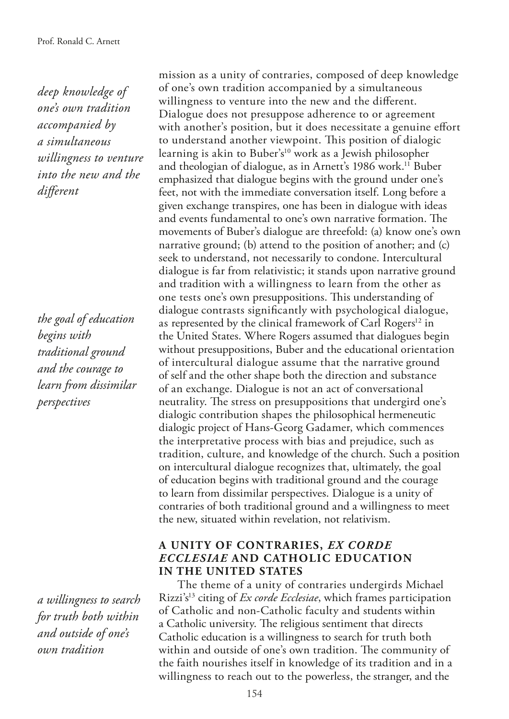*deep knowledge of one's own tradition accompanied by a simultaneous willingness to venture into the new and the diferent*

*the goal of education begins with traditional ground and the courage to learn from dissimilar perspectives*

*a willingness to search for truth both within and outside of one's own tradition*

mission as a unity of contraries, composed of deep knowledge of one's own tradition accompanied by a simultaneous willingness to venture into the new and the diferent. Dialogue does not presuppose adherence to or agreement with another's position, but it does necessitate a genuine efort to understand another viewpoint. This position of dialogic learning is akin to Buber's<sup>10</sup> work as a Jewish philosopher and theologian of dialogue, as in Arnett's 1986 work.<sup>11</sup> Buber emphasized that dialogue begins with the ground under one's feet, not with the immediate conversation itself. Long before a given exchange transpires, one has been in dialogue with ideas and events fundamental to one's own narrative formation. The movements of Buber's dialogue are threefold: (a) know one's own narrative ground; (b) attend to the position of another; and (c) seek to understand, not necessarily to condone. Intercultural dialogue is far from relativistic; it stands upon narrative ground and tradition with a willingness to learn from the other as one tests one's own presuppositions. This understanding of dialogue contrasts signifcantly with psychological dialogue, as represented by the clinical framework of Carl Rogers<sup>12</sup> in the United States. Where Rogers assumed that dialogues begin without presuppositions, Buber and the educational orientation of intercultural dialogue assume that the narrative ground of self and the other shape both the direction and substance of an exchange. Dialogue is not an act of conversational neutrality. The stress on presuppositions that undergird one's dialogic contribution shapes the philosophical hermeneutic dialogic project of Hans-Georg Gadamer, which commences the interpretative process with bias and prejudice, such as tradition, culture, and knowledge of the church. Such a position on intercultural dialogue recognizes that, ultimately, the goal of education begins with traditional ground and the courage to learn from dissimilar perspectives. Dialogue is a unity of contraries of both traditional ground and a willingness to meet the new, situated within revelation, not relativism.

### **A UNITY OF CONTRARIES,** *EX CORDE ECCLESIAE* **AND CATHOLIC EDUCATION IN THE UNITED STATES**

The theme of a unity of contraries undergirds Michael Rizzi's13 citing of *Ex corde Ecclesiae*, which frames participation of Catholic and non-Catholic faculty and students within a Catholic university. The religious sentiment that directs Catholic education is a willingness to search for truth both within and outside of one's own tradition. The community of the faith nourishes itself in knowledge of its tradition and in a willingness to reach out to the powerless, the stranger, and the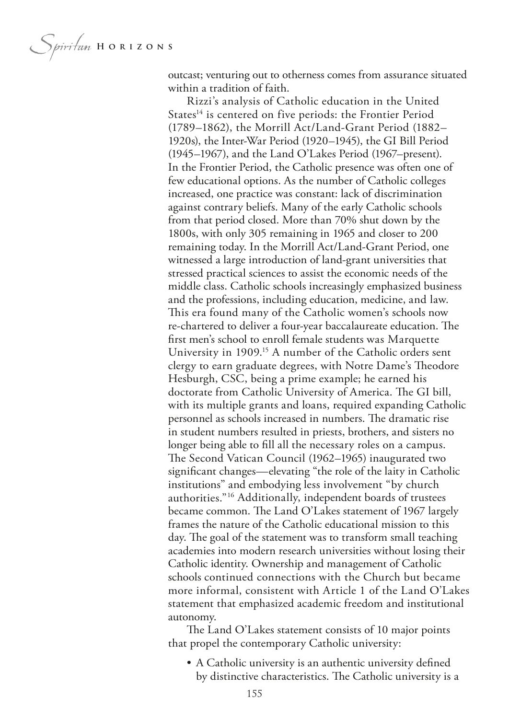*Spiritum* HORIZONS

outcast; venturing out to otherness comes from assurance situated within a tradition of faith.

Rizzi's analysis of Catholic education in the United States<sup>14</sup> is centered on five periods: the Frontier Period (1789–1862), the Morrill Act/Land-Grant Period (1882– 1920s), the Inter-War Period (1920–1945), the GI Bill Period (1945–1967), and the Land O'Lakes Period (1967–present). In the Frontier Period, the Catholic presence was often one of few educational options. As the number of Catholic colleges increased, one practice was constant: lack of discrimination against contrary beliefs. Many of the early Catholic schools from that period closed. More than 70% shut down by the 1800s, with only 305 remaining in 1965 and closer to 200 remaining today. In the Morrill Act/Land-Grant Period, one witnessed a large introduction of land-grant universities that stressed practical sciences to assist the economic needs of the middle class. Catholic schools increasingly emphasized business and the professions, including education, medicine, and law. This era found many of the Catholic women's schools now re-chartered to deliver a four-year baccalaureate education. The frst men's school to enroll female students was Marquette University in 1909.<sup>15</sup> A number of the Catholic orders sent clergy to earn graduate degrees, with Notre Dame's Theodore Hesburgh, CSC, being a prime example; he earned his doctorate from Catholic University of America. The GI bill, with its multiple grants and loans, required expanding Catholic personnel as schools increased in numbers. The dramatic rise in student numbers resulted in priests, brothers, and sisters no longer being able to fll all the necessary roles on a campus. The Second Vatican Council (1962–1965) inaugurated two signifcant changes—elevating "the role of the laity in Catholic institutions" and embodying less involvement "by church authorities."16 Additionally, independent boards of trustees became common. The Land O'Lakes statement of 1967 largely frames the nature of the Catholic educational mission to this day. The goal of the statement was to transform small teaching academies into modern research universities without losing their Catholic identity. Ownership and management of Catholic schools continued connections with the Church but became more informal, consistent with Article 1 of the Land O'Lakes statement that emphasized academic freedom and institutional autonomy.

The Land O'Lakes statement consists of  $10$  major points that propel the contemporary Catholic university:

• A Catholic university is an authentic university defned by distinctive characteristics. The Catholic university is a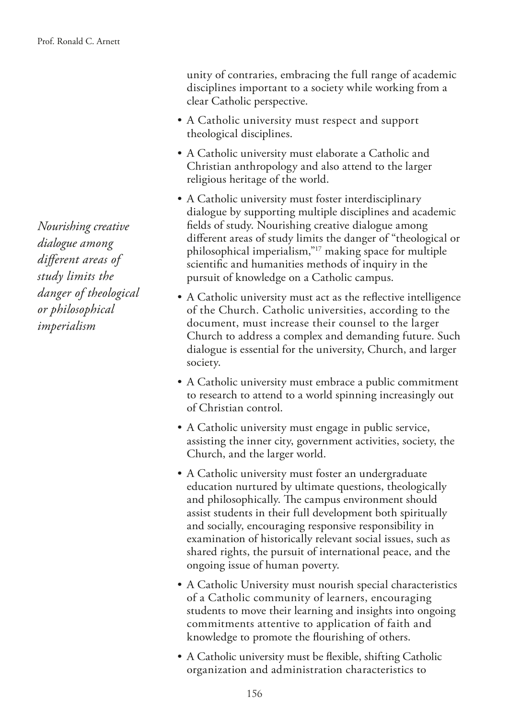*Nourishing creative dialogue among diferent areas of study limits the danger of theological or philosophical imperialism*

unity of contraries, embracing the full range of academic disciplines important to a society while working from a clear Catholic perspective.

- A Catholic university must respect and support theological disciplines.
- A Catholic university must elaborate a Catholic and Christian anthropology and also attend to the larger religious heritage of the world.
- A Catholic university must foster interdisciplinary dialogue by supporting multiple disciplines and academic felds of study. Nourishing creative dialogue among diferent areas of study limits the danger of "theological or philosophical imperialism,"17 making space for multiple scientifc and humanities methods of inquiry in the pursuit of knowledge on a Catholic campus.
- A Catholic university must act as the refective intelligence of the Church. Catholic universities, according to the document, must increase their counsel to the larger Church to address a complex and demanding future. Such dialogue is essential for the university, Church, and larger society.
- A Catholic university must embrace a public commitment to research to attend to a world spinning increasingly out of Christian control.
- A Catholic university must engage in public service, assisting the inner city, government activities, society, the Church, and the larger world.
- A Catholic university must foster an undergraduate education nurtured by ultimate questions, theologically and philosophically. The campus environment should assist students in their full development both spiritually and socially, encouraging responsive responsibility in examination of historically relevant social issues, such as shared rights, the pursuit of international peace, and the ongoing issue of human poverty.
- A Catholic University must nourish special characteristics of a Catholic community of learners, encouraging students to move their learning and insights into ongoing commitments attentive to application of faith and knowledge to promote the fourishing of others.
- A Catholic university must be fexible, shifting Catholic organization and administration characteristics to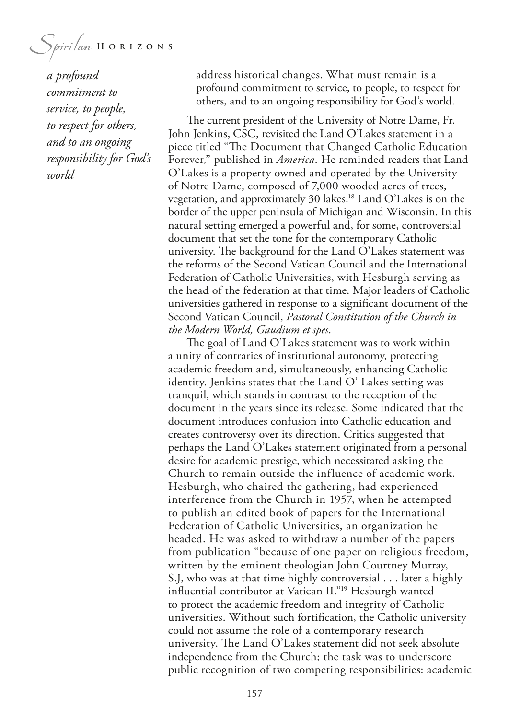Spiritum HORIZONS

*a profound commitment to service, to people, to respect for others, and to an ongoing responsibility for God's world*

address historical changes. What must remain is a profound commitment to service, to people, to respect for others, and to an ongoing responsibility for God's world.

The current president of the University of Notre Dame, Fr. John Jenkins, CSC, revisited the Land O'Lakes statement in a piece titled "The Document that Changed Catholic Education Forever," published in *America*. He reminded readers that Land O'Lakes is a property owned and operated by the University of Notre Dame, composed of 7,000 wooded acres of trees, vegetation, and approximately 30 lakes.18 Land O'Lakes is on the border of the upper peninsula of Michigan and Wisconsin. In this natural setting emerged a powerful and, for some, controversial document that set the tone for the contemporary Catholic university. The background for the Land O'Lakes statement was the reforms of the Second Vatican Council and the International Federation of Catholic Universities, with Hesburgh serving as the head of the federation at that time. Major leaders of Catholic universities gathered in response to a signifcant document of the Second Vatican Council, *Pastoral Constitution of the Church in the Modern World, Gaudium et spes*.

The goal of Land O'Lakes statement was to work within a unity of contraries of institutional autonomy, protecting academic freedom and, simultaneously, enhancing Catholic identity. Jenkins states that the Land O' Lakes setting was tranquil, which stands in contrast to the reception of the document in the years since its release. Some indicated that the document introduces confusion into Catholic education and creates controversy over its direction. Critics suggested that perhaps the Land O'Lakes statement originated from a personal desire for academic prestige, which necessitated asking the Church to remain outside the influence of academic work. Hesburgh, who chaired the gathering, had experienced interference from the Church in 1957, when he attempted to publish an edited book of papers for the International Federation of Catholic Universities, an organization he headed. He was asked to withdraw a number of the papers from publication "because of one paper on religious freedom, written by the eminent theologian John Courtney Murray, S.J, who was at that time highly controversial . . . later a highly infuential contributor at Vatican II."19 Hesburgh wanted to protect the academic freedom and integrity of Catholic universities. Without such fortifcation, the Catholic university could not assume the role of a contemporary research university. The Land O'Lakes statement did not seek absolute independence from the Church; the task was to underscore public recognition of two competing responsibilities: academic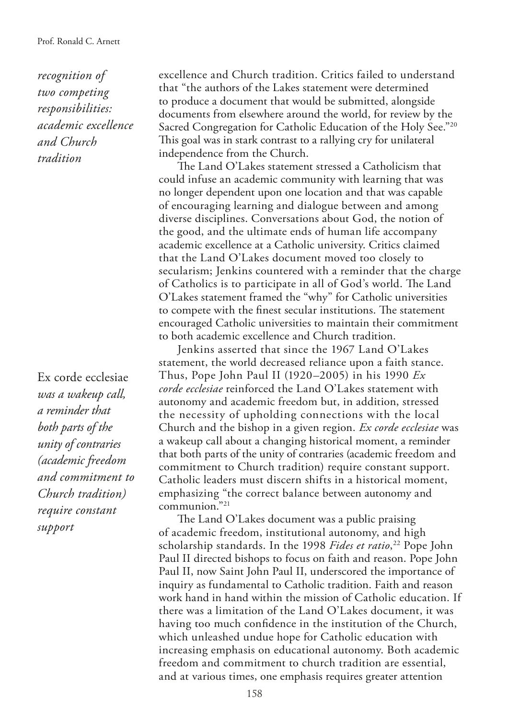*recognition of two competing responsibilities: academic excellence and Church tradition*

Ex corde ecclesiae *was a wakeup call, a reminder that both parts of the unity of contraries (academic freedom and commitment to Church tradition) require constant support*

excellence and Church tradition. Critics failed to understand that "the authors of the Lakes statement were determined to produce a document that would be submitted, alongside documents from elsewhere around the world, for review by the Sacred Congregation for Catholic Education of the Holy See."<sup>20</sup> This goal was in stark contrast to a rallying cry for unilateral independence from the Church.

The Land O'Lakes statement stressed a Catholicism that could infuse an academic community with learning that was no longer dependent upon one location and that was capable of encouraging learning and dialogue between and among diverse disciplines. Conversations about God, the notion of the good, and the ultimate ends of human life accompany academic excellence at a Catholic university. Critics claimed that the Land O'Lakes document moved too closely to secularism; Jenkins countered with a reminder that the charge of Catholics is to participate in all of God's world. The Land O'Lakes statement framed the "why" for Catholic universities to compete with the finest secular institutions. The statement encouraged Catholic universities to maintain their commitment to both academic excellence and Church tradition.

Jenkins asserted that since the 1967 Land O'Lakes statement, the world decreased reliance upon a faith stance. Thus, Pope John Paul II (1920–2005) in his 1990 *Ex corde ecclesiae* reinforced the Land O'Lakes statement with autonomy and academic freedom but, in addition, stressed the necessity of upholding connections with the local Church and the bishop in a given region. *Ex corde ecclesiae* was a wakeup call about a changing historical moment, a reminder that both parts of the unity of contraries (academic freedom and commitment to Church tradition) require constant support. Catholic leaders must discern shifts in a historical moment, emphasizing "the correct balance between autonomy and communion."21

The Land O'Lakes document was a public praising of academic freedom, institutional autonomy, and high scholarship standards. In the 1998 *Fides et ratio*, 22 Pope John Paul II directed bishops to focus on faith and reason. Pope John Paul II, now Saint John Paul II, underscored the importance of inquiry as fundamental to Catholic tradition. Faith and reason work hand in hand within the mission of Catholic education. If there was a limitation of the Land O'Lakes document, it was having too much confdence in the institution of the Church, which unleashed undue hope for Catholic education with increasing emphasis on educational autonomy. Both academic freedom and commitment to church tradition are essential, and at various times, one emphasis requires greater attention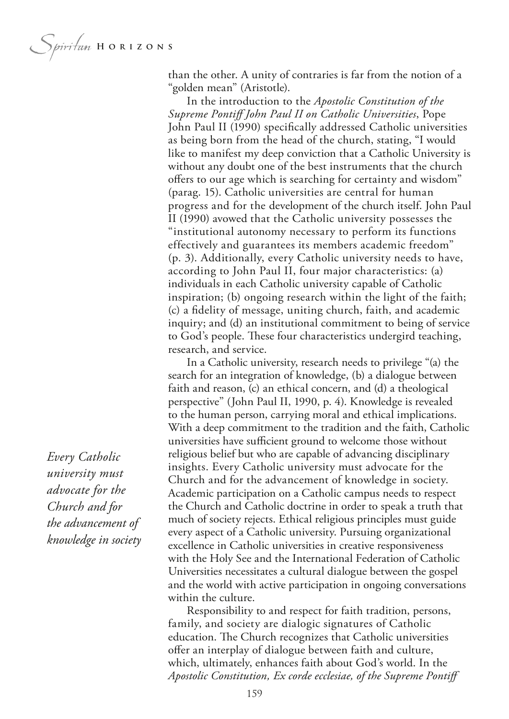*Spiritum* HORIZONS

than the other. A unity of contraries is far from the notion of a "golden mean" (Aristotle).

In the introduction to the *Apostolic Constitution of the Supreme Pontif John Paul II on Catholic Universities*, Pope John Paul II (1990) specifcally addressed Catholic universities as being born from the head of the church, stating, "I would like to manifest my deep conviction that a Catholic University is without any doubt one of the best instruments that the church offers to our age which is searching for certainty and wisdom" (parag. 15). Catholic universities are central for human progress and for the development of the church itself. John Paul II (1990) avowed that the Catholic university possesses the "institutional autonomy necessary to perform its functions effectively and guarantees its members academic freedom" (p. 3). Additionally, every Catholic university needs to have, according to John Paul II, four major characteristics: (a) individuals in each Catholic university capable of Catholic inspiration; (b) ongoing research within the light of the faith; (c) a fdelity of message, uniting church, faith, and academic inquiry; and (d) an institutional commitment to being of service to God's people. These four characteristics undergird teaching, research, and service.

In a Catholic university, research needs to privilege "(a) the search for an integration of knowledge, (b) a dialogue between faith and reason, (c) an ethical concern, and (d) a theological perspective" (John Paul II, 1990, p. 4). Knowledge is revealed to the human person, carrying moral and ethical implications. With a deep commitment to the tradition and the faith, Catholic universities have sufficient ground to welcome those without religious belief but who are capable of advancing disciplinary insights. Every Catholic university must advocate for the Church and for the advancement of knowledge in society. Academic participation on a Catholic campus needs to respect the Church and Catholic doctrine in order to speak a truth that much of society rejects. Ethical religious principles must guide every aspect of a Catholic university. Pursuing organizational excellence in Catholic universities in creative responsiveness with the Holy See and the International Federation of Catholic Universities necessitates a cultural dialogue between the gospel and the world with active participation in ongoing conversations within the culture.

Responsibility to and respect for faith tradition, persons, family, and society are dialogic signatures of Catholic education. The Church recognizes that Catholic universities ofer an interplay of dialogue between faith and culture, which, ultimately, enhances faith about God's world. In the *Apostolic Constitution, Ex corde ecclesiae, of the Supreme Pontif* 

*Every Catholic university must advocate for the Church and for the advancement of knowledge in society*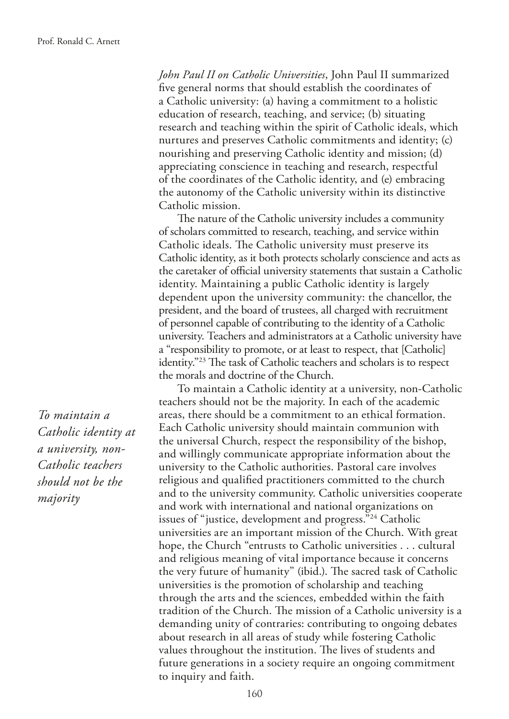*John Paul II on Catholic Universities*, John Paul II summarized fve general norms that should establish the coordinates of a Catholic university: (a) having a commitment to a holistic education of research, teaching, and service; (b) situating research and teaching within the spirit of Catholic ideals, which nurtures and preserves Catholic commitments and identity; (c) nourishing and preserving Catholic identity and mission; (d) appreciating conscience in teaching and research, respectful of the coordinates of the Catholic identity, and (e) embracing the autonomy of the Catholic university within its distinctive Catholic mission.

The nature of the Catholic university includes a community of scholars committed to research, teaching, and service within Catholic ideals. The Catholic university must preserve its Catholic identity, as it both protects scholarly conscience and acts as the caretaker of official university statements that sustain a Catholic identity. Maintaining a public Catholic identity is largely dependent upon the university community: the chancellor, the president, and the board of trustees, all charged with recruitment of personnel capable of contributing to the identity of a Catholic university. Teachers and administrators at a Catholic university have a "responsibility to promote, or at least to respect, that [Catholic] identity."<sup>23</sup> The task of Catholic teachers and scholars is to respect the morals and doctrine of the Church.

To maintain a Catholic identity at a university, non-Catholic teachers should not be the majority. In each of the academic areas, there should be a commitment to an ethical formation. Each Catholic university should maintain communion with the universal Church, respect the responsibility of the bishop, and willingly communicate appropriate information about the university to the Catholic authorities. Pastoral care involves religious and qualifed practitioners committed to the church and to the university community. Catholic universities cooperate and work with international and national organizations on issues of "justice, development and progress."24 Catholic universities are an important mission of the Church. With great hope, the Church "entrusts to Catholic universities . . . cultural and religious meaning of vital importance because it concerns the very future of humanity" (ibid.). The sacred task of Catholic universities is the promotion of scholarship and teaching through the arts and the sciences, embedded within the faith tradition of the Church. The mission of a Catholic university is a demanding unity of contraries: contributing to ongoing debates about research in all areas of study while fostering Catholic values throughout the institution. The lives of students and future generations in a society require an ongoing commitment to inquiry and faith.

*To maintain a Catholic identity at a university, non-Catholic teachers should not be the majority*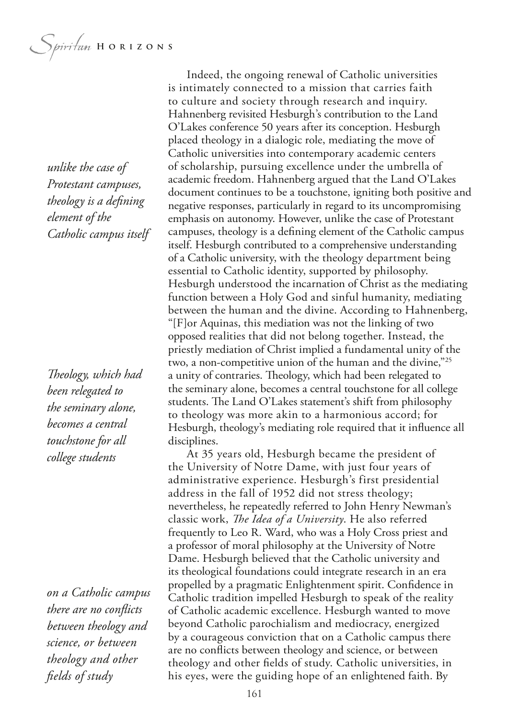*unlike the case of Protestant campuses, theology is a defning element of the Catholic campus itself*

*Teology, which had been relegated to the seminary alone, becomes a central touchstone for all college students*

*on a Catholic campus there are no conficts between theology and science, or between theology and other felds of study*

Indeed, the ongoing renewal of Catholic universities is intimately connected to a mission that carries faith to culture and society through research and inquiry. Hahnenberg revisited Hesburgh's contribution to the Land O'Lakes conference 50 years after its conception. Hesburgh placed theology in a dialogic role, mediating the move of Catholic universities into contemporary academic centers of scholarship, pursuing excellence under the umbrella of academic freedom. Hahnenberg argued that the Land O'Lakes document continues to be a touchstone, igniting both positive and negative responses, particularly in regard to its uncompromising emphasis on autonomy. However, unlike the case of Protestant campuses, theology is a defning element of the Catholic campus itself. Hesburgh contributed to a comprehensive understanding of a Catholic university, with the theology department being essential to Catholic identity, supported by philosophy. Hesburgh understood the incarnation of Christ as the mediating function between a Holy God and sinful humanity, mediating between the human and the divine. According to Hahnenberg, "[F]or Aquinas, this mediation was not the linking of two opposed realities that did not belong together. Instead, the priestly mediation of Christ implied a fundamental unity of the two, a non-competitive union of the human and the divine,"25 a unity of contraries. Theology, which had been relegated to the seminary alone, becomes a central touchstone for all college students. The Land O'Lakes statement's shift from philosophy to theology was more akin to a harmonious accord; for Hesburgh, theology's mediating role required that it infuence all disciplines.

At 35 years old, Hesburgh became the president of the University of Notre Dame, with just four years of administrative experience. Hesburgh's first presidential address in the fall of 1952 did not stress theology; nevertheless, he repeatedly referred to John Henry Newman's classic work, *The Idea of a University*. He also referred frequently to Leo R. Ward, who was a Holy Cross priest and a professor of moral philosophy at the University of Notre Dame. Hesburgh believed that the Catholic university and its theological foundations could integrate research in an era propelled by a pragmatic Enlightenment spirit. Confdence in Catholic tradition impelled Hesburgh to speak of the reality of Catholic academic excellence. Hesburgh wanted to move beyond Catholic parochialism and mediocracy, energized by a courageous conviction that on a Catholic campus there are no conficts between theology and science, or between theology and other felds of study. Catholic universities, in his eyes, were the guiding hope of an enlightened faith. By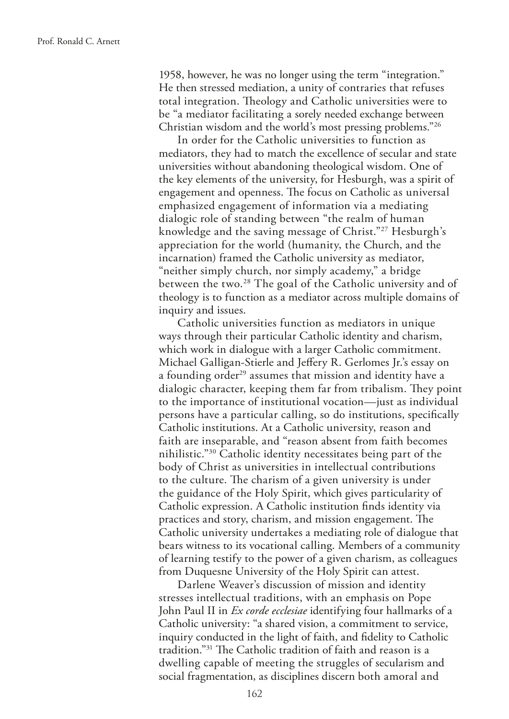1958, however, he was no longer using the term "integration." He then stressed mediation, a unity of contraries that refuses total integration. Theology and Catholic universities were to be "a mediator facilitating a sorely needed exchange between Christian wisdom and the world's most pressing problems."26

In order for the Catholic universities to function as mediators, they had to match the excellence of secular and state universities without abandoning theological wisdom. One of the key elements of the university, for Hesburgh, was a spirit of engagement and openness. The focus on Catholic as universal emphasized engagement of information via a mediating dialogic role of standing between "the realm of human knowledge and the saving message of Christ."27 Hesburgh's appreciation for the world (humanity, the Church, and the incarnation) framed the Catholic university as mediator, "neither simply church, nor simply academy," a bridge between the two.<sup>28</sup> The goal of the Catholic university and of theology is to function as a mediator across multiple domains of inquiry and issues.

Catholic universities function as mediators in unique ways through their particular Catholic identity and charism, which work in dialogue with a larger Catholic commitment. Michael Galligan-Stierle and Jeffery R. Gerlomes Jr.'s essay on a founding order<sup>29</sup> assumes that mission and identity have a dialogic character, keeping them far from tribalism. They point to the importance of institutional vocation—just as individual persons have a particular calling, so do institutions, specifcally Catholic institutions. At a Catholic university, reason and faith are inseparable, and "reason absent from faith becomes nihilistic."30 Catholic identity necessitates being part of the body of Christ as universities in intellectual contributions to the culture. The charism of a given university is under the guidance of the Holy Spirit, which gives particularity of Catholic expression. A Catholic institution fnds identity via practices and story, charism, and mission engagement. The Catholic university undertakes a mediating role of dialogue that bears witness to its vocational calling. Members of a community of learning testify to the power of a given charism, as colleagues from Duquesne University of the Holy Spirit can attest.

Darlene Weaver's discussion of mission and identity stresses intellectual traditions, with an emphasis on Pope John Paul II in *Ex corde ecclesiae* identifying four hallmarks of a Catholic university: "a shared vision, a commitment to service, inquiry conducted in the light of faith, and fdelity to Catholic tradition."<sup>31</sup> The Catholic tradition of faith and reason is a dwelling capable of meeting the struggles of secularism and social fragmentation, as disciplines discern both amoral and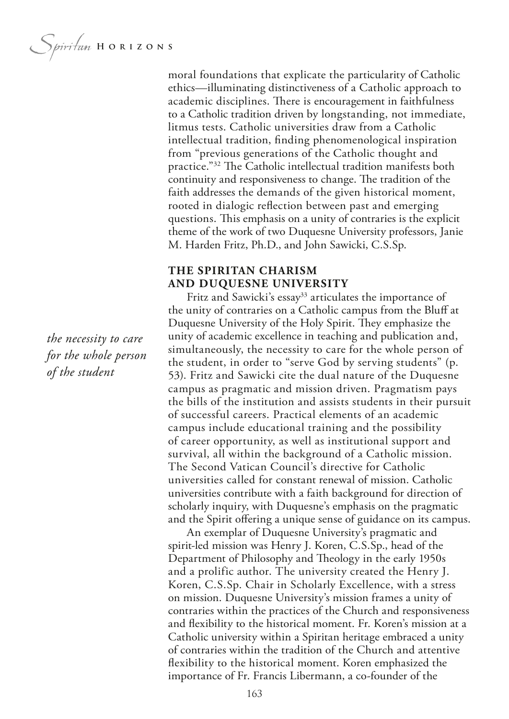moral foundations that explicate the particularity of Catholic ethics—illuminating distinctiveness of a Catholic approach to academic disciplines. There is encouragement in faithfulness to a Catholic tradition driven by longstanding, not immediate, litmus tests. Catholic universities draw from a Catholic intellectual tradition, fnding phenomenological inspiration from "previous generations of the Catholic thought and practice."<sup>32</sup> The Catholic intellectual tradition manifests both continuity and responsiveness to change. The tradition of the faith addresses the demands of the given historical moment, rooted in dialogic refection between past and emerging questions. This emphasis on a unity of contraries is the explicit theme of the work of two Duquesne University professors, Janie M. Harden Fritz, Ph.D., and John Sawicki, C.S.Sp.

#### **THE SPIRITAN CHARISM AND DUQUESNE UNIVERSITY**

Fritz and Sawicki's essay<sup>33</sup> articulates the importance of the unity of contraries on a Catholic campus from the Bluf at Duquesne University of the Holy Spirit. They emphasize the unity of academic excellence in teaching and publication and, simultaneously, the necessity to care for the whole person of the student, in order to "serve God by serving students" (p. 53). Fritz and Sawicki cite the dual nature of the Duquesne campus as pragmatic and mission driven. Pragmatism pays the bills of the institution and assists students in their pursuit of successful careers. Practical elements of an academic campus include educational training and the possibility of career opportunity, as well as institutional support and survival, all within the background of a Catholic mission. The Second Vatican Council's directive for Catholic universities called for constant renewal of mission. Catholic universities contribute with a faith background for direction of scholarly inquiry, with Duquesne's emphasis on the pragmatic and the Spirit offering a unique sense of guidance on its campus.

An exemplar of Duquesne University's pragmatic and spirit-led mission was Henry J. Koren, C.S.Sp., head of the Department of Philosophy and Theology in the early 1950s and a prolific author. The university created the Henry J. Koren, C.S.Sp. Chair in Scholarly Excellence, with a stress on mission. Duquesne University's mission frames a unity of contraries within the practices of the Church and responsiveness and fexibility to the historical moment. Fr. Koren's mission at a Catholic university within a Spiritan heritage embraced a unity of contraries within the tradition of the Church and attentive fexibility to the historical moment. Koren emphasized the importance of Fr. Francis Libermann, a co-founder of the

*the necessity to care for the whole person of the student*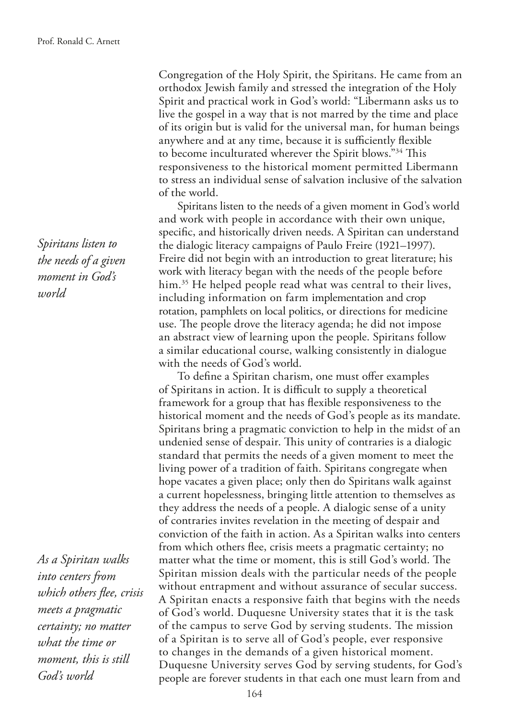Congregation of the Holy Spirit, the Spiritans. He came from an orthodox Jewish family and stressed the integration of the Holy Spirit and practical work in God's world: "Libermann asks us to live the gospel in a way that is not marred by the time and place of its origin but is valid for the universal man, for human beings anywhere and at any time, because it is sufficiently flexible to become inculturated wherever the Spirit blows."<sup>34</sup> This responsiveness to the historical moment permitted Libermann to stress an individual sense of salvation inclusive of the salvation of the world.

Spiritans listen to the needs of a given moment in God's world and work with people in accordance with their own unique, specifc, and historically driven needs. A Spiritan can understand the dialogic literacy campaigns of Paulo Freire (1921–1997). Freire did not begin with an introduction to great literature; his work with literacy began with the needs of the people before him.<sup>35</sup> He helped people read what was central to their lives, including information on farm implementation and crop rotation, pamphlets on local politics, or directions for medicine use. The people drove the literacy agenda; he did not impose an abstract view of learning upon the people. Spiritans follow a similar educational course, walking consistently in dialogue with the needs of God's world.

To define a Spiritan charism, one must offer examples of Spiritans in action. It is difficult to supply a theoretical framework for a group that has fexible responsiveness to the historical moment and the needs of God's people as its mandate. Spiritans bring a pragmatic conviction to help in the midst of an undenied sense of despair. This unity of contraries is a dialogic standard that permits the needs of a given moment to meet the living power of a tradition of faith. Spiritans congregate when hope vacates a given place; only then do Spiritans walk against a current hopelessness, bringing little attention to themselves as they address the needs of a people. A dialogic sense of a unity of contraries invites revelation in the meeting of despair and conviction of the faith in action. As a Spiritan walks into centers from which others fee, crisis meets a pragmatic certainty; no matter what the time or moment, this is still God's world. The Spiritan mission deals with the particular needs of the people without entrapment and without assurance of secular success. A Spiritan enacts a responsive faith that begins with the needs of God's world. Duquesne University states that it is the task of the campus to serve God by serving students. The mission of a Spiritan is to serve all of God's people, ever responsive to changes in the demands of a given historical moment. Duquesne University serves God by serving students, for God's people are forever students in that each one must learn from and

*Spiritans listen to the needs of a given moment in God's world*

*As a Spiritan walks into centers from which others fee, crisis meets a pragmatic certainty; no matter what the time or moment, this is still God's world*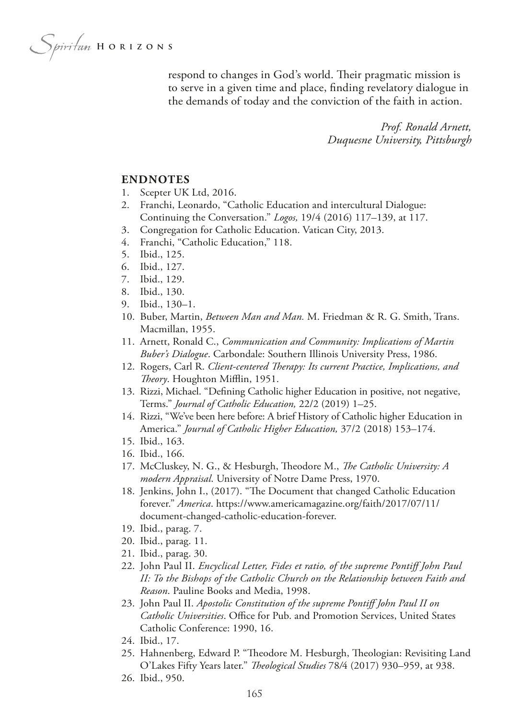Spiritan HORIZONS

respond to changes in God's world. Their pragmatic mission is to serve in a given time and place, fnding revelatory dialogue in the demands of today and the conviction of the faith in action.

> *Prof. Ronald Arnett, Duquesne University, Pittsburgh*

#### **ENDNOTES**

- 1. Scepter UK Ltd, 2016.
- 2. Franchi, Leonardo, "Catholic Education and intercultural Dialogue: Continuing the Conversation." *Logos,* 19/4 (2016) 117–139, at 117.
- 3. Congregation for Catholic Education. Vatican City, 2013.
- 4. Franchi, "Catholic Education," 118.
- 5. Ibid., 125.
- 6. Ibid., 127.
- 7. Ibid., 129.
- 8. Ibid., 130.
- 9. Ibid., 130–1.
- 10. Buber, Martin, *Between Man and Man.* M. Friedman & R. G. Smith, Trans. Macmillan, 1955.
- 11. Arnett, Ronald C., *Communication and Community: Implications of Martin Buber's Dialogue*. Carbondale: Southern Illinois University Press, 1986.
- 12. Rogers, Carl R. *Client-centered Therapy: Its current Practice, Implications, and Teory*. Houghton Mifin, 1951.
- 13. Rizzi, Michael. "Defning Catholic higher Education in positive, not negative, Terms." *Journal of Catholic Education,* 22/2 (2019) 1–25.
- 14. Rizzi, "We've been here before: A brief History of Catholic higher Education in America." *Journal of Catholic Higher Education,* 37/2 (2018) 153–174.
- 15. Ibid., 163.
- 16. Ibid., 166.
- 17. McCluskey, N. G., & Hesburgh, Theodore M., *The Catholic University: A modern Appraisal*. University of Notre Dame Press, 1970.
- 18. Jenkins, John I., (2017). "The Document that changed Catholic Education forever." *America*. https://www.americamagazine.org/faith/2017/07/11/ document-changed-catholic-education-forever.
- 19. Ibid., parag. 7.
- 20. Ibid., parag. 11.
- 21. Ibid., parag. 30.
- 22. John Paul II. *Encyclical Letter, Fides et ratio, of the supreme Pontif John Paul II: To the Bishops of the Catholic Church on the Relationship between Faith and Reason*. Pauline Books and Media, 1998.
- 23. John Paul II. *Apostolic Constitution of the supreme Pontif John Paul II on Catholic Universities*. Office for Pub. and Promotion Services, United States Catholic Conference: 1990, 16.
- 24. Ibid., 17.
- 25. Hahnenberg, Edward P. "Theodore M. Hesburgh, Theologian: Revisiting Land O'Lakes Fifty Years later." *Teological Studies* 78*/*4 (2017) 930–959, at 938.
- 26. Ibid., 950.